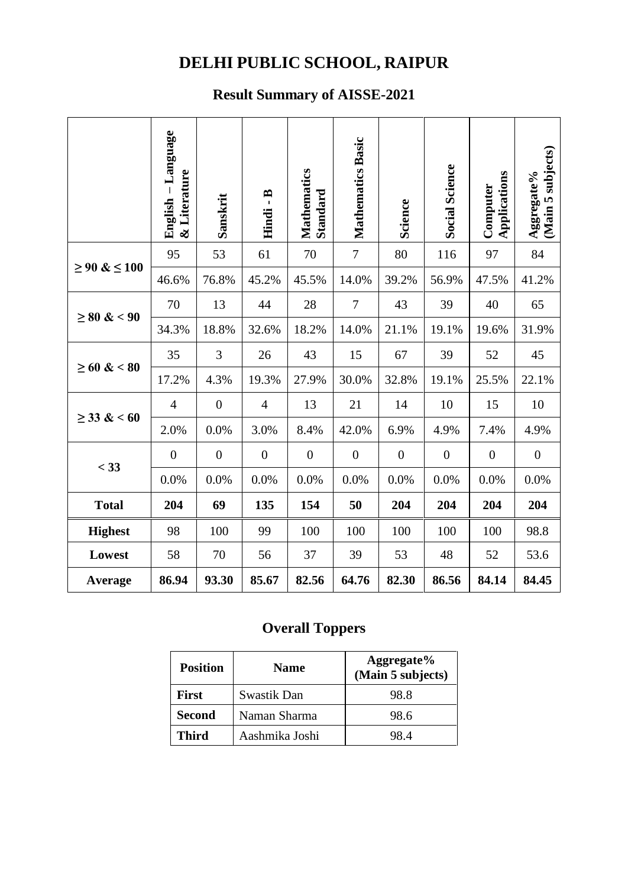## **DELHI PUBLIC SCHOOL, RAIPUR**

## **Result Summary of AISSE-2021**

|                   | English - Language<br>& Literature | Sanskrit         | $\ddot{B}$<br>Hindi | <b>Mathematics</b><br>Standard | Mathematics Basic | <b>Science</b>   | <b>Social Science</b> | Applications<br>Computer | subjects)<br>Aggregate%<br>(Main 5 |
|-------------------|------------------------------------|------------------|---------------------|--------------------------------|-------------------|------------------|-----------------------|--------------------------|------------------------------------|
| $\geq 90 \& 100$  | 95                                 | 53               | 61                  | 70                             | $\overline{7}$    | 80               | 116                   | 97                       | 84                                 |
|                   | 46.6%                              | 76.8%            | 45.2%               | 45.5%                          | 14.0%             | 39.2%            | 56.9%                 | 47.5%                    | 41.2%                              |
| $\geq 80 \& 0.90$ | 70                                 | 13               | 44                  | 28                             | $\tau$            | 43               | 39                    | 40                       | 65                                 |
|                   | 34.3%                              | 18.8%            | 32.6%               | 18.2%                          | 14.0%             | 21.1%            | 19.1%                 | 19.6%                    | 31.9%                              |
| $\geq 60 \& 80$   | 35                                 | 3                | 26                  | 43                             | 15                | 67               | 39                    | 52                       | 45                                 |
|                   | 17.2%                              | 4.3%             | 19.3%               | 27.9%                          | 30.0%             | 32.8%            | 19.1%                 | 25.5%                    | 22.1%                              |
| $\geq$ 33 & < 60  | $\overline{4}$                     | $\boldsymbol{0}$ | $\overline{4}$      | 13                             | 21                | 14               | 10                    | 15                       | 10                                 |
|                   | 2.0%                               | 0.0%             | 3.0%                | 8.4%                           | 42.0%             | 6.9%             | 4.9%                  | 7.4%                     | 4.9%                               |
| $<$ 33            | $\boldsymbol{0}$                   | $\boldsymbol{0}$ | $\boldsymbol{0}$    | $\boldsymbol{0}$               | $\boldsymbol{0}$  | $\boldsymbol{0}$ | $\boldsymbol{0}$      | $\boldsymbol{0}$         | $\boldsymbol{0}$                   |
|                   | 0.0%                               | 0.0%             | 0.0%                | 0.0%                           | 0.0%              | 0.0%             | 0.0%                  | 0.0%                     | 0.0%                               |
| <b>Total</b>      | 204                                | 69               | 135                 | 154                            | 50                | 204              | 204                   | 204                      | 204                                |
| <b>Highest</b>    | 98                                 | 100              | 99                  | 100                            | 100               | 100              | 100                   | 100                      | 98.8                               |
| Lowest            | 58                                 | 70               | 56                  | 37                             | 39                | 53               | 48                    | 52                       | 53.6                               |
| Average           | 86.94                              | 93.30            | 85.67               | 82.56                          | 64.76             | 82.30            | 86.56                 | 84.14                    | 84.45                              |

## **Overall Toppers**

| <b>Position</b> | <b>Name</b>    | Aggregate%<br>(Main 5 subjects) |  |  |
|-----------------|----------------|---------------------------------|--|--|
| <b>First</b>    | Swastik Dan    | 98.8                            |  |  |
| <b>Second</b>   | Naman Sharma   | 98.6                            |  |  |
| Third           | Aashmika Joshi | 984                             |  |  |